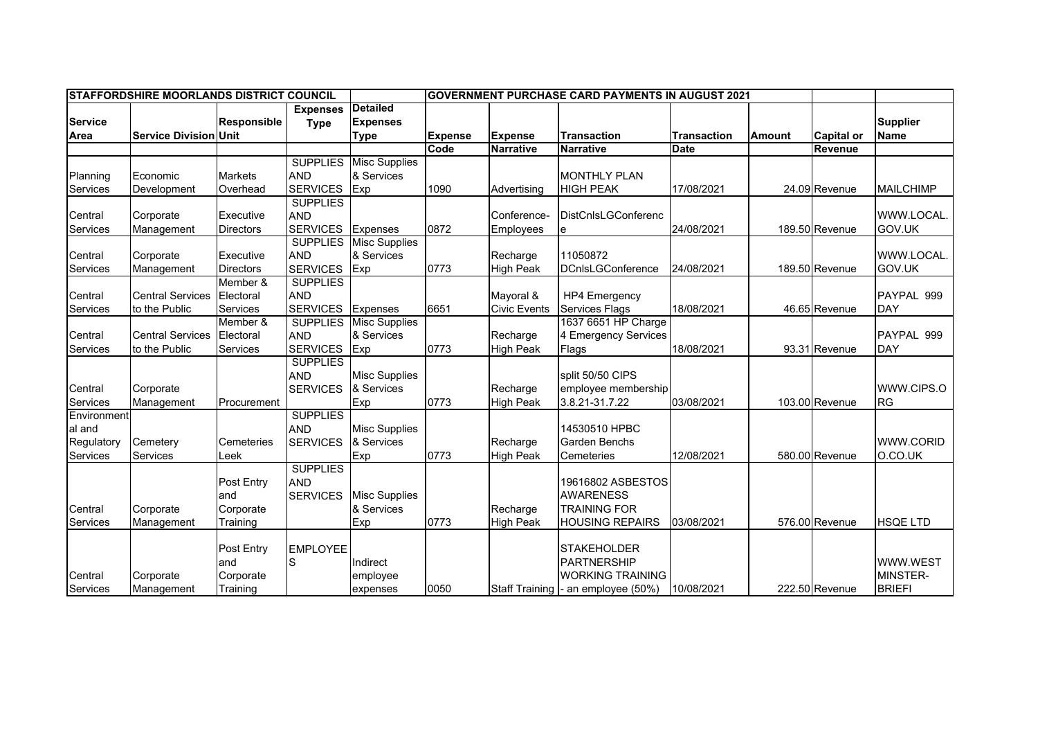| <b>STAFFORDSHIRE MOORLANDS DISTRICT COUNCIL</b> |                              |                    |                 |                                | <b>IGOVERNMENT PURCHASE CARD PAYMENTS IN AUGUST 2021</b> |                     |                                     |                    |               |                   |                  |
|-------------------------------------------------|------------------------------|--------------------|-----------------|--------------------------------|----------------------------------------------------------|---------------------|-------------------------------------|--------------------|---------------|-------------------|------------------|
| <b>Service</b>                                  |                              | <b>Responsible</b> | <b>Expenses</b> | <b>Detailed</b>                |                                                          |                     |                                     |                    |               |                   | <b>Supplier</b>  |
| Area                                            | <b>Service Division Unit</b> |                    | <b>Type</b>     | <b>Expenses</b><br><b>Type</b> | <b>Expense</b>                                           | <b>Expense</b>      | <b>Transaction</b>                  | <b>Transaction</b> | <b>Amount</b> | <b>Capital or</b> | <b>Name</b>      |
|                                                 |                              |                    |                 |                                | Code                                                     | <b>Narrative</b>    | <b>Narrative</b>                    | <b>Date</b>        |               | Revenue           |                  |
|                                                 |                              |                    | <b>SUPPLIES</b> | <b>Misc Supplies</b>           |                                                          |                     |                                     |                    |               |                   |                  |
| Planning                                        | Economic                     | <b>Markets</b>     | <b>AND</b>      | & Services                     |                                                          |                     | <b>MONTHLY PLAN</b>                 |                    |               |                   |                  |
| Services                                        | Development                  | Overhead           | <b>SERVICES</b> | Exp                            | 1090                                                     | Advertising         | <b>HIGH PEAK</b>                    | 17/08/2021         |               | 24.09 Revenue     | <b>MAILCHIMP</b> |
|                                                 |                              |                    | <b>SUPPLIES</b> |                                |                                                          |                     |                                     |                    |               |                   |                  |
| Central                                         | Corporate                    | Executive          | <b>AND</b>      |                                |                                                          | Conference-         | <b>DistCnIsLGConferenc</b>          |                    |               |                   | WWW.LOCAL.       |
| Services                                        | Management                   | <b>Directors</b>   | <b>SERVICES</b> | <b>Expenses</b>                | 0872                                                     | Employees           |                                     | 24/08/2021         |               | 189.50 Revenue    | GOV.UK           |
|                                                 |                              |                    | <b>SUPPLIES</b> | <b>Misc Supplies</b>           |                                                          |                     |                                     |                    |               |                   |                  |
| Central                                         | Corporate                    | Executive          | <b>AND</b>      | & Services                     |                                                          | Recharge            | 11050872                            |                    |               |                   | WWW.LOCAL.       |
| Services                                        | Management                   | <b>Directors</b>   | <b>SERVICES</b> | Exp                            | 0773                                                     | <b>High Peak</b>    | <b>DCnIsLGConference</b>            | 24/08/2021         |               | 189.50 Revenue    | GOV.UK           |
|                                                 |                              | Member &           | <b>SUPPLIES</b> |                                |                                                          |                     |                                     |                    |               |                   |                  |
| Central                                         | <b>Central Services</b>      | Electoral          | <b>AND</b>      |                                |                                                          | Mavoral &           | <b>HP4 Emergency</b>                |                    |               |                   | PAYPAL 999       |
| Services                                        | to the Public                | Services           | <b>SERVICES</b> | Expenses                       | 6651                                                     | <b>Civic Events</b> | <b>Services Flags</b>               | 18/08/2021         |               | 46.65 Revenue     | <b>DAY</b>       |
|                                                 |                              | Member &           | <b>SUPPLIES</b> | <b>Misc Supplies</b>           |                                                          |                     | 1637 6651 HP Charge                 |                    |               |                   |                  |
| Central                                         | <b>Central Services</b>      | Electoral          | <b>AND</b>      | & Services                     |                                                          | Recharge            | 4 Emergency Services                |                    |               |                   | PAYPAL 999       |
| Services                                        | to the Public                | Services           | <b>SERVICES</b> | Exp                            | 0773                                                     | <b>High Peak</b>    | Flags                               | 18/08/2021         |               | 93.31 Revenue     | <b>DAY</b>       |
|                                                 |                              |                    | <b>SUPPLIES</b> |                                |                                                          |                     |                                     |                    |               |                   |                  |
|                                                 |                              |                    | <b>AND</b>      | <b>Misc Supplies</b>           |                                                          |                     | split 50/50 CIPS                    |                    |               |                   |                  |
| Central                                         | Corporate                    |                    | <b>SERVICES</b> | & Services                     |                                                          | Recharge            | employee membership                 |                    |               |                   | WWW.CIPS.O       |
| Services                                        | Management                   | Procurement        |                 | Exp                            | 0773                                                     | High Peak           | 3.8.21-31.7.22                      | 03/08/2021         |               | 103.00 Revenue    | <b>RG</b>        |
| Environment                                     |                              |                    | <b>SUPPLIES</b> |                                |                                                          |                     |                                     |                    |               |                   |                  |
| al and                                          |                              |                    | <b>AND</b>      | <b>Misc Supplies</b>           |                                                          |                     | 14530510 HPBC                       |                    |               |                   |                  |
| Regulatory                                      | Cemetery                     | Cemeteries         | <b>SERVICES</b> | & Services                     |                                                          | Recharge            | <b>Garden Benchs</b>                |                    |               |                   | <b>WWW.CORID</b> |
| Services                                        | Services                     | Leek               |                 | Exp                            | 0773                                                     | <b>High Peak</b>    | Cemeteries                          | 12/08/2021         |               | 580.00 Revenue    | O.CO.UK          |
|                                                 |                              |                    | <b>SUPPLIES</b> |                                |                                                          |                     |                                     |                    |               |                   |                  |
|                                                 |                              | Post Entry         | <b>AND</b>      |                                |                                                          |                     | 19616802 ASBESTOS                   |                    |               |                   |                  |
|                                                 |                              | and                | <b>SERVICES</b> | <b>Misc Supplies</b>           |                                                          |                     | <b>AWARENESS</b>                    |                    |               |                   |                  |
| Central                                         | Corporate                    | Corporate          |                 | & Services                     |                                                          | Recharge            | <b>TRAINING FOR</b>                 |                    |               |                   |                  |
| Services                                        | Management                   | Training           |                 | Exp                            | 0773                                                     | <b>High Peak</b>    | <b>HOUSING REPAIRS</b>              | 03/08/2021         |               | 576.00 Revenue    | <b>HSQE LTD</b>  |
|                                                 |                              |                    |                 |                                |                                                          |                     |                                     |                    |               |                   |                  |
|                                                 |                              | <b>Post Entry</b>  | <b>EMPLOYEE</b> |                                |                                                          |                     | <b>STAKEHOLDER</b>                  |                    |               |                   |                  |
|                                                 |                              | and                | S               | Indirect                       |                                                          |                     | <b>PARTNERSHIP</b>                  |                    |               |                   | WWW.WEST         |
| Central                                         | Corporate                    | Corporate          |                 | employee                       |                                                          |                     | <b>WORKING TRAINING</b>             |                    |               |                   | MINSTER-         |
| Services                                        | Management                   | Training           |                 | expenses                       | 0050                                                     |                     | Staff Training  - an employee (50%) | 10/08/2021         |               | 222.50 Revenue    | <b>BRIEFI</b>    |